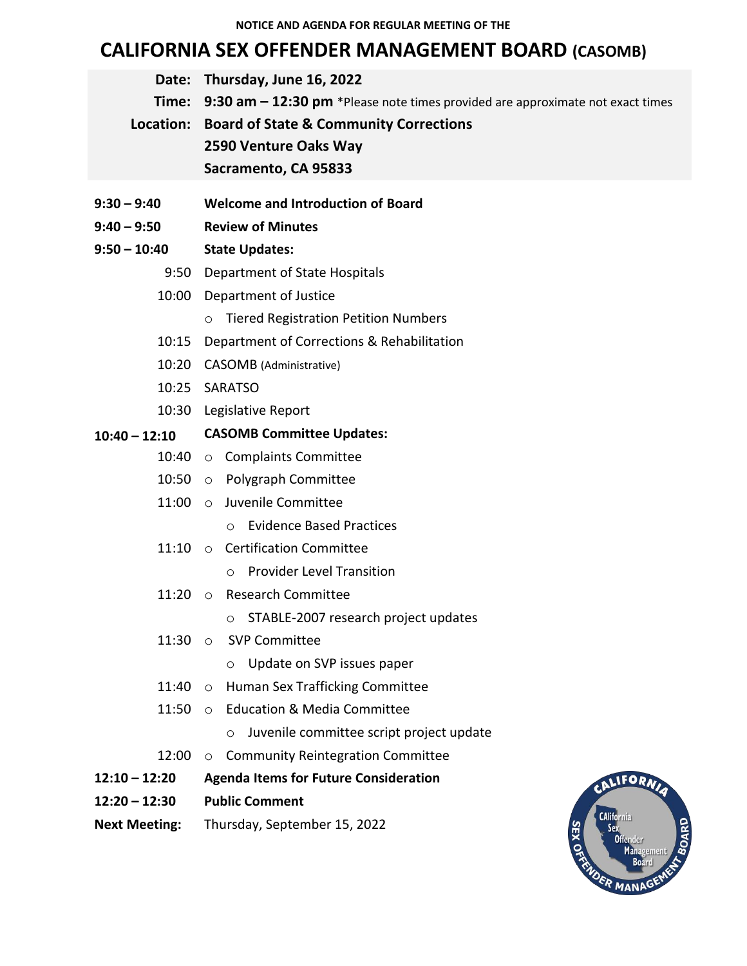# **CALIFORNIA SEX OFFENDER MANAGEMENT BOARD (CASOMB)**

|               | Date: Thursday, June 16, 2022                                                               |
|---------------|---------------------------------------------------------------------------------------------|
|               | <b>Time:</b> 9:30 am - 12:30 pm *Please note times provided are approximate not exact times |
|               | Location: Board of State & Community Corrections                                            |
|               | 2590 Venture Oaks Way                                                                       |
|               | Sacramento, CA 95833                                                                        |
| $9:30 - 9:40$ | <b>Welcome and Introduction of Board</b>                                                    |

**9:40 – 9:50 Review of Minutes**

#### **9:50 – 10:40 State Updates:**

- 9:50 Department of State Hospitals
- 10:00 Department of Justice
	- o Tiered Registration Petition Numbers
- 10:15 Department of Corrections & Rehabilitation
- 10:20 CASOMB (Administrative)
- 10:25 SARATSO
- 10:30 Legislative Report

#### **10:40 – 12:10 CASOMB Committee Updates:**

- 10:40 o Complaints Committee
- 10:50 o Polygraph Committee
- 11:00 o Juvenile Committee
	- o Evidence Based Practices
- 11:10 o Certification Committee
	- o Provider Level Transition
- 11:20 o Research Committee
	- o STABLE-2007 research project updates
- 11:30 o SVP Committee
	- o Update on SVP issues paper
- 11:40 o Human Sex Trafficking Committee
- 11:50 o Education & Media Committee
	- o Juvenile committee script project update
- 12:00 o Community Reintegration Committee
- **12:10 – 12:20 Agenda Items for Future Consideration**
- **12:20 – 12:30 Public Comment**
- **Next Meeting:** Thursday, September 15, 2022